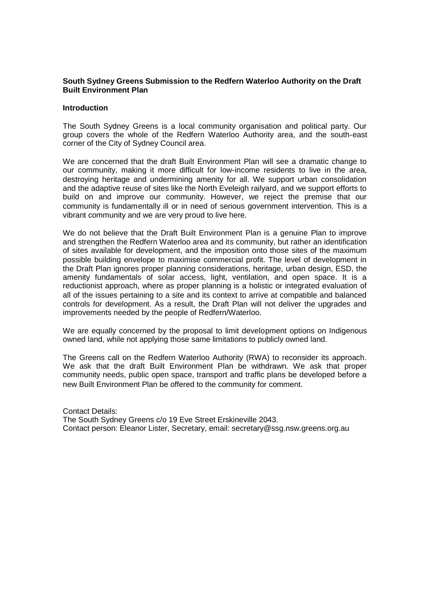### **South Sydney Greens Submission to the Redfern Waterloo Authority on the Draft Built Environment Plan**

#### **Introduction**

The South Sydney Greens is a local community organisation and political party. Our group covers the whole of the Redfern Waterloo Authority area, and the south-east corner of the City of Sydney Council area.

We are concerned that the draft Built Environment Plan will see a dramatic change to our community, making it more difficult for low-income residents to live in the area, destroying heritage and undermining amenity for all. We support urban consolidation and the adaptive reuse of sites like the North Eveleigh railyard, and we support efforts to build on and improve our community. However, we reject the premise that our community is fundamentally ill or in need of serious government intervention. This is a vibrant community and we are very proud to live here.

We do not believe that the Draft Built Environment Plan is a genuine Plan to improve and strengthen the Redfern Waterloo area and its community, but rather an identification of sites available for development, and the imposition onto those sites of the maximum possible building envelope to maximise commercial profit. The level of development in the Draft Plan ignores proper planning considerations, heritage, urban design, ESD, the amenity fundamentals of solar access, light, ventilation, and open space. It is a reductionist approach, where as proper planning is a holistic or integrated evaluation of all of the issues pertaining to a site and its context to arrive at compatible and balanced controls for development. As a result, the Draft Plan will not deliver the upgrades and improvements needed by the people of Redfern/Waterloo.

We are equally concerned by the proposal to limit development options on Indigenous owned land, while not applying those same limitations to publicly owned land.

The Greens call on the Redfern Waterloo Authority (RWA) to reconsider its approach. We ask that the draft Built Environment Plan be withdrawn. We ask that proper community needs, public open space, transport and traffic plans be developed before a new Built Environment Plan be offered to the community for comment.

Contact Details: The South Sydney Greens c/o 19 Eve Street Erskineville 2043. Contact person: Eleanor Lister, Secretary, email: secretary@ssg.nsw.greens.org.au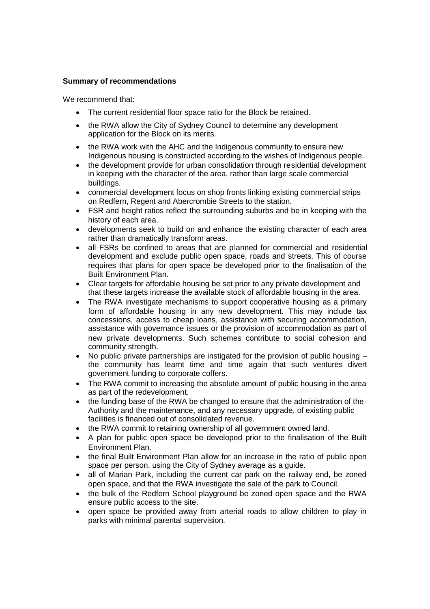# **Summary of recommendations**

- The current residential floor space ratio for the Block be retained.
- the RWA allow the City of Sydney Council to determine any development application for the Block on its merits.
- the RWA work with the AHC and the Indigenous community to ensure new Indigenous housing is constructed according to the wishes of Indigenous people.
- the development provide for urban consolidation through residential development in keeping with the character of the area, rather than large scale commercial buildings.
- commercial development focus on shop fronts linking existing commercial strips on Redfern, Regent and Abercrombie Streets to the station.
- FSR and height ratios reflect the surrounding suburbs and be in keeping with the history of each area.
- developments seek to build on and enhance the existing character of each area rather than dramatically transform areas.
- all FSRs be confined to areas that are planned for commercial and residential development and exclude public open space, roads and streets. This of course requires that plans for open space be developed prior to the finalisation of the Built Environment Plan.
- Clear targets for affordable housing be set prior to any private development and that these targets increase the available stock of affordable housing in the area.
- The RWA investigate mechanisms to support cooperative housing as a primary form of affordable housing in any new development. This may include tax concessions, access to cheap loans, assistance with securing accommodation, assistance with governance issues or the provision of accommodation as part of new private developments. Such schemes contribute to social cohesion and community strength.
- No public private partnerships are instigated for the provision of public housing the community has learnt time and time again that such ventures divert government funding to corporate coffers.
- The RWA commit to increasing the absolute amount of public housing in the area as part of the redevelopment.
- the funding base of the RWA be changed to ensure that the administration of the Authority and the maintenance, and any necessary upgrade, of existing public facilities is financed out of consolidated revenue.
- the RWA commit to retaining ownership of all government owned land.
- A plan for public open space be developed prior to the finalisation of the Built Environment Plan.
- the final Built Environment Plan allow for an increase in the ratio of public open space per person, using the City of Sydney average as a guide.
- all of Marian Park, including the current car park on the railway end, be zoned open space, and that the RWA investigate the sale of the park to Council.
- the bulk of the Redfern School playground be zoned open space and the RWA ensure public access to the site.
- open space be provided away from arterial roads to allow children to play in parks with minimal parental supervision.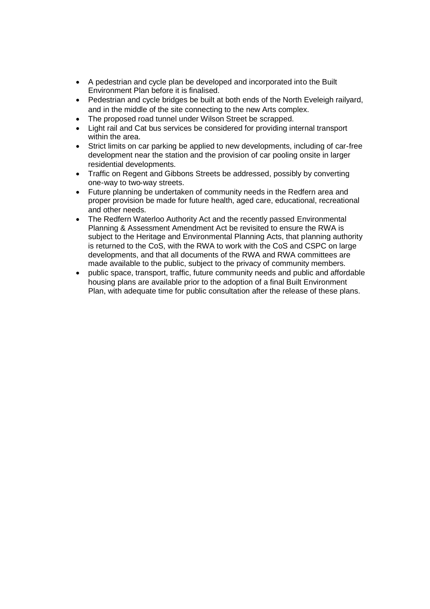- A pedestrian and cycle plan be developed and incorporated into the Built Environment Plan before it is finalised.
- Pedestrian and cycle bridges be built at both ends of the North Eveleigh railyard, and in the middle of the site connecting to the new Arts complex.
- The proposed road tunnel under Wilson Street be scrapped.
- Light rail and Cat bus services be considered for providing internal transport within the area.
- Strict limits on car parking be applied to new developments, including of car-free development near the station and the provision of car pooling onsite in larger residential developments.
- Traffic on Regent and Gibbons Streets be addressed, possibly by converting one-way to two-way streets.
- Future planning be undertaken of community needs in the Redfern area and proper provision be made for future health, aged care, educational, recreational and other needs.
- The Redfern Waterloo Authority Act and the recently passed Environmental Planning & Assessment Amendment Act be revisited to ensure the RWA is subject to the Heritage and Environmental Planning Acts, that planning authority is returned to the CoS, with the RWA to work with the CoS and CSPC on large developments, and that all documents of the RWA and RWA committees are made available to the public, subject to the privacy of community members.
- public space, transport, traffic, future community needs and public and affordable housing plans are available prior to the adoption of a final Built Environment Plan, with adequate time for public consultation after the release of these plans.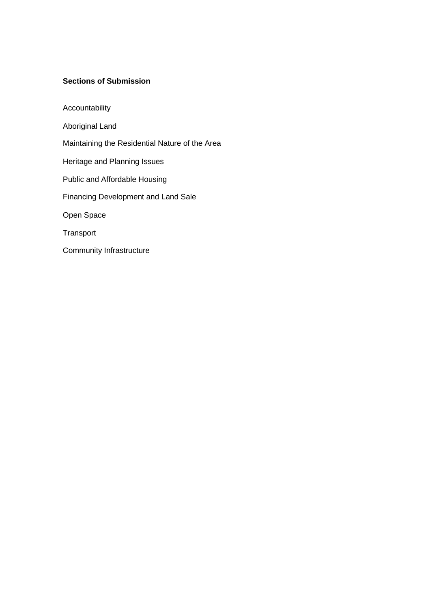# **Sections of Submission**

Accountability Aboriginal Land Maintaining the Residential Nature of the Area Heritage and Planning Issues Public and Affordable Housing Financing Development and Land Sale Open Space Transport Community Infrastructure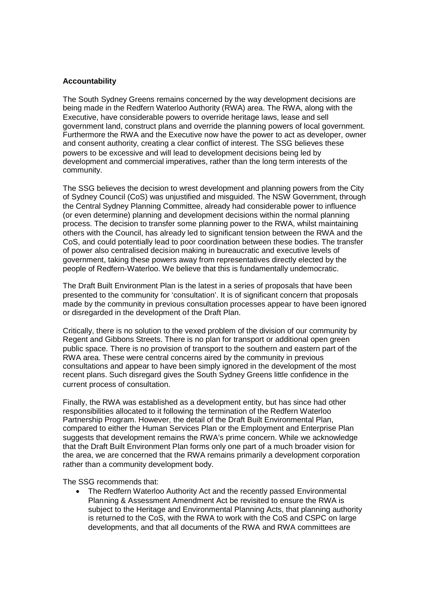### **Accountability**

The South Sydney Greens remains concerned by the way development decisions are being made in the Redfern Waterloo Authority (RWA) area. The RWA, along with the Executive, have considerable powers to override heritage laws, lease and sell government land, construct plans and override the planning powers of local government. Furthermore the RWA and the Executive now have the power to act as developer, owner and consent authority, creating a clear conflict of interest. The SSG believes these powers to be excessive and will lead to development decisions being led by development and commercial imperatives, rather than the long term interests of the community.

The SSG believes the decision to wrest development and planning powers from the City of Sydney Council (CoS) was unjustified and misguided. The NSW Government, through the Central Sydney Planning Committee, already had considerable power to influence (or even determine) planning and development decisions within the normal planning process. The decision to transfer some planning power to the RWA, whilst maintaining others with the Council, has already led to significant tension between the RWA and the CoS, and could potentially lead to poor coordination between these bodies. The transfer of power also centralised decision making in bureaucratic and executive levels of government, taking these powers away from representatives directly elected by the people of Redfern-Waterloo. We believe that this is fundamentally undemocratic.

The Draft Built Environment Plan is the latest in a series of proposals that have been presented to the community for 'consultation'. It is of significant concern that proposals made by the community in previous consultation processes appear to have been ignored or disregarded in the development of the Draft Plan.

Critically, there is no solution to the vexed problem of the division of our community by Regent and Gibbons Streets. There is no plan for transport or additional open green public space. There is no provision of transport to the southern and eastern part of the RWA area. These were central concerns aired by the community in previous consultations and appear to have been simply ignored in the development of the most recent plans. Such disregard gives the South Sydney Greens little confidence in the current process of consultation.

Finally, the RWA was established as a development entity, but has since had other responsibilities allocated to it following the termination of the Redfern Waterloo Partnership Program. However, the detail of the Draft Built Environmental Plan, compared to either the Human Services Plan or the Employment and Enterprise Plan suggests that development remains the RWA's prime concern. While we acknowledge that the Draft Built Environment Plan forms only one part of a much broader vision for the area, we are concerned that the RWA remains primarily a development corporation rather than a community development body.

The SSG recommends that:

 The Redfern Waterloo Authority Act and the recently passed Environmental Planning & Assessment Amendment Act be revisited to ensure the RWA is subject to the Heritage and Environmental Planning Acts, that planning authority is returned to the CoS, with the RWA to work with the CoS and CSPC on large developments, and that all documents of the RWA and RWA committees are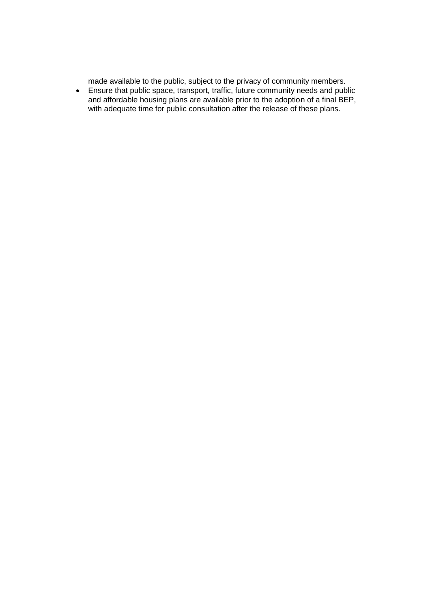made available to the public, subject to the privacy of community members.

 Ensure that public space, transport, traffic, future community needs and public and affordable housing plans are available prior to the adoption of a final BEP, with adequate time for public consultation after the release of these plans.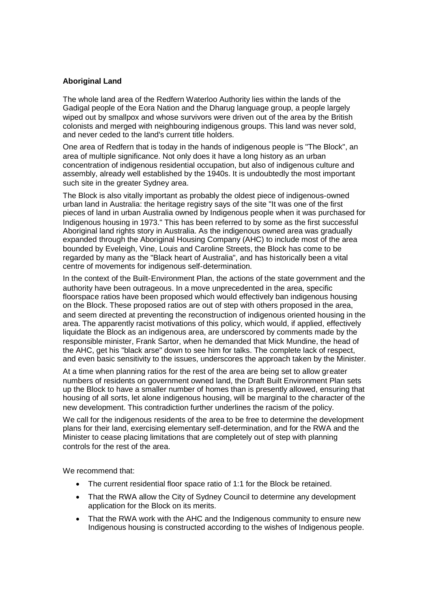# **Aboriginal Land**

The whole land area of the Redfern Waterloo Authority lies within the lands of the Gadigal people of the Eora Nation and the Dharug language group, a people largely wiped out by smallpox and whose survivors were driven out of the area by the British colonists and merged with neighbouring indigenous groups. This land was never sold, and never ceded to the land's current title holders.

One area of Redfern that is today in the hands of indigenous people is "The Block", an area of multiple significance. Not only does it have a long history as an urban concentration of indigenous residential occupation, but also of indigenous culture and assembly, already well established by the 1940s. It is undoubtedly the most important such site in the greater Sydney area.

The Block is also vitally important as probably the oldest piece of indigenous-owned urban land in Australia: the heritage registry says of the site "It was one of the first pieces of land in urban Australia owned by Indigenous people when it was purchased for Indigenous housing in 1973." This has been referred to by some as the first successful Aboriginal land rights story in Australia. As the indigenous owned area was gradually expanded through the Aboriginal Housing Company (AHC) to include most of the area bounded by Eveleigh, Vine, Louis and Caroline Streets, the Block has come to be regarded by many as the "Black heart of Australia", and has historically been a vital centre of movements for indigenous self-determination.

In the context of the Built-Environment Plan, the actions of the state government and the authority have been outrageous. In a move unprecedented in the area, specific floorspace ratios have been proposed which would effectively ban indigenous housing on the Block. These proposed ratios are out of step with others proposed in the area, and seem directed at preventing the reconstruction of indigenous oriented housing in the area. The apparently racist motivations of this policy, which would, if applied, effectively liquidate the Block as an indigenous area, are underscored by comments made by the responsible minister, Frank Sartor, when he demanded that Mick Mundine, the head of the AHC, get his "black arse" down to see him for talks. The complete lack of respect, and even basic sensitivity to the issues, underscores the approach taken by the Minister.

At a time when planning ratios for the rest of the area are being set to allow greater numbers of residents on government owned land, the Draft Built Environment Plan sets up the Block to have a smaller number of homes than is presently allowed, ensuring that housing of all sorts, let alone indigenous housing, will be marginal to the character of the new development. This contradiction further underlines the racism of the policy.

We call for the indigenous residents of the area to be free to determine the development plans for their land, exercising elementary self-determination, and for the RWA and the Minister to cease placing limitations that are completely out of step with planning controls for the rest of the area.

- The current residential floor space ratio of 1:1 for the Block be retained.
- That the RWA allow the City of Sydney Council to determine any development application for the Block on its merits.
- That the RWA work with the AHC and the Indigenous community to ensure new Indigenous housing is constructed according to the wishes of Indigenous people.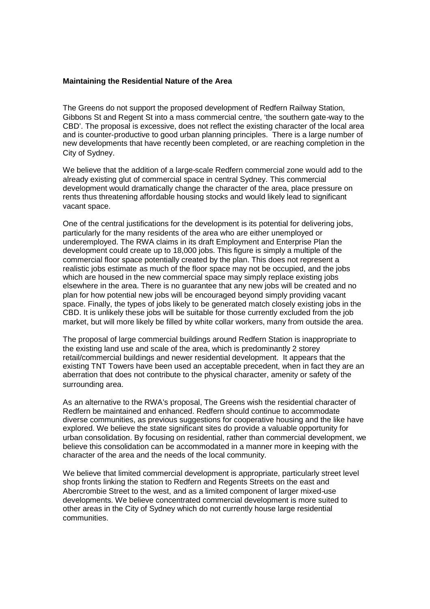### **Maintaining the Residential Nature of the Area**

The Greens do not support the proposed development of Redfern Railway Station, Gibbons St and Regent St into a mass commercial centre, 'the southern gate-way to the CBD'. The proposal is excessive, does not reflect the existing character of the local area and is counter-productive to good urban planning principles. There is a large number of new developments that have recently been completed, or are reaching completion in the City of Sydney.

We believe that the addition of a large-scale Redfern commercial zone would add to the already existing glut of commercial space in central Sydney. This commercial development would dramatically change the character of the area, place pressure on rents thus threatening affordable housing stocks and would likely lead to significant vacant space.

One of the central justifications for the development is its potential for delivering jobs, particularly for the many residents of the area who are either unemployed or underemployed. The RWA claims in its draft Employment and Enterprise Plan the development could create up to 18,000 jobs. This figure is simply a multiple of the commercial floor space potentially created by the plan. This does not represent a realistic jobs estimate as much of the floor space may not be occupied, and the jobs which are housed in the new commercial space may simply replace existing jobs elsewhere in the area. There is no guarantee that any new jobs will be created and no plan for how potential new jobs will be encouraged beyond simply providing vacant space. Finally, the types of jobs likely to be generated match closely existing jobs in the CBD. It is unlikely these jobs will be suitable for those currently excluded from the job market, but will more likely be filled by white collar workers, many from outside the area.

The proposal of large commercial buildings around Redfern Station is inappropriate to the existing land use and scale of the area, which is predominantly 2 storey retail/commercial buildings and newer residential development. It appears that the existing TNT Towers have been used an acceptable precedent, when in fact they are an aberration that does not contribute to the physical character, amenity or safety of the surrounding area.

As an alternative to the RWA's proposal, The Greens wish the residential character of Redfern be maintained and enhanced. Redfern should continue to accommodate diverse communities, as previous suggestions for cooperative housing and the like have explored. We believe the state significant sites do provide a valuable opportunity for urban consolidation. By focusing on residential, rather than commercial development, we believe this consolidation can be accommodated in a manner more in keeping with the character of the area and the needs of the local community.

We believe that limited commercial development is appropriate, particularly street level shop fronts linking the station to Redfern and Regents Streets on the east and Abercrombie Street to the west, and as a limited component of larger mixed-use developments. We believe concentrated commercial development is more suited to other areas in the City of Sydney which do not currently house large residential communities.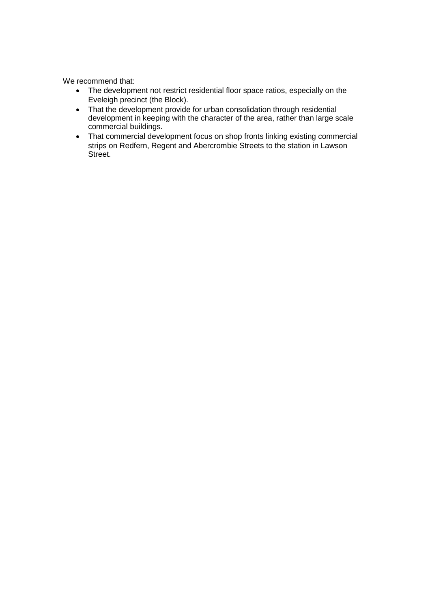- The development not restrict residential floor space ratios, especially on the Eveleigh precinct (the Block).
- That the development provide for urban consolidation through residential development in keeping with the character of the area, rather than large scale commercial buildings.
- That commercial development focus on shop fronts linking existing commercial strips on Redfern, Regent and Abercrombie Streets to the station in Lawson Street.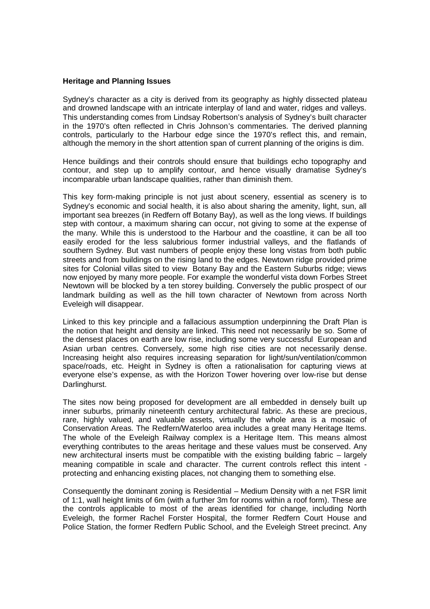#### **Heritage and Planning Issues**

Sydney's character as a city is derived from its geography as highly dissected plateau and drowned landscape with an intricate interplay of land and water, ridges and valleys. This understanding comes from Lindsay Robertson's analysis of Sydney's built character in the 1970's often reflected in Chris Johnson's commentaries. The derived planning controls, particularly to the Harbour edge since the 1970's reflect this, and remain, although the memory in the short attention span of current planning of the origins is dim.

Hence buildings and their controls should ensure that buildings echo topography and contour, and step up to amplify contour, and hence visually dramatise Sydney's incomparable urban landscape qualities, rather than diminish them.

This key form-making principle is not just about scenery, essential as scenery is to Sydney's economic and social health, it is also about sharing the amenity, light, sun, all important sea breezes (in Redfern off Botany Bay), as well as the long views. If buildings step with contour, a maximum sharing can occur, not giving to some at the expense of the many. While this is understood to the Harbour and the coastline, it can be all too easily eroded for the less salubrious former industrial valleys, and the flatlands of southern Sydney. But vast numbers of people enjoy these long vistas from both public streets and from buildings on the rising land to the edges. Newtown ridge provided prime sites for Colonial villas sited to view Botany Bay and the Eastern Suburbs ridge; views now enjoyed by many more people. For example the wonderful vista down Forbes Street Newtown will be blocked by a ten storey building. Conversely the public prospect of our landmark building as well as the hill town character of Newtown from across North Eveleigh will disappear.

Linked to this key principle and a fallacious assumption underpinning the Draft Plan is the notion that height and density are linked. This need not necessarily be so. Some of the densest places on earth are low rise, including some very successful European and Asian urban centres. Conversely, some high rise cities are not necessarily dense. Increasing height also requires increasing separation for light/sun/ventilation/common space/roads, etc. Height in Sydney is often a rationalisation for capturing views at everyone else's expense, as with the Horizon Tower hovering over low-rise but dense Darlinghurst.

The sites now being proposed for development are all embedded in densely built up inner suburbs, primarily nineteenth century architectural fabric. As these are precious, rare, highly valued, and valuable assets, virtually the whole area is a mosaic of Conservation Areas. The Redfern/Waterloo area includes a great many Heritage Items. The whole of the Eveleigh Railway complex is a Heritage Item. This means almost everything contributes to the areas heritage and these values must be conserved. Any new architectural inserts must be compatible with the existing building fabric – largely meaning compatible in scale and character. The current controls reflect this intent protecting and enhancing existing places, not changing them to something else.

Consequently the dominant zoning is Residential – Medium Density with a net FSR limit of 1:1, wall height limits of 6m (with a further 3m for rooms within a roof form). These are the controls applicable to most of the areas identified for change, including North Eveleigh, the former Rachel Forster Hospital, the former Redfern Court House and Police Station, the former Redfern Public School, and the Eveleigh Street precinct. Any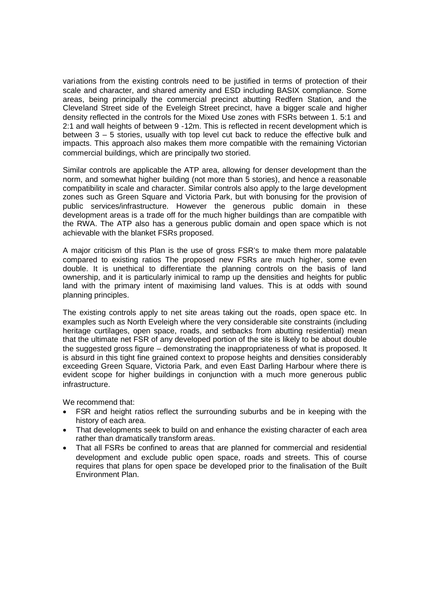variations from the existing controls need to be justified in terms of protection of their scale and character, and shared amenity and ESD including BASIX compliance. Some areas, being principally the commercial precinct abutting Redfern Station, and the Cleveland Street side of the Eveleigh Street precinct, have a bigger scale and higher density reflected in the controls for the Mixed Use zones with FSRs between 1. 5:1 and 2:1 and wall heights of between 9 -12m. This is reflected in recent development which is between 3 – 5 stories, usually with top level cut back to reduce the effective bulk and impacts. This approach also makes them more compatible with the remaining Victorian commercial buildings, which are principally two storied.

Similar controls are applicable the ATP area, allowing for denser development than the norm, and somewhat higher building (not more than 5 stories), and hence a reasonable compatibility in scale and character. Similar controls also apply to the large development zones such as Green Square and Victoria Park, but with bonusing for the provision of public services/infrastructure. However the generous public domain in these development areas is a trade off for the much higher buildings than are compatible with the RWA. The ATP also has a generous public domain and open space which is not achievable with the blanket FSRs proposed.

A major criticism of this Plan is the use of gross FSR's to make them more palatable compared to existing ratios The proposed new FSRs are much higher, some even double. It is unethical to differentiate the planning controls on the basis of land ownership, and it is particularly inimical to ramp up the densities and heights for public land with the primary intent of maximising land values. This is at odds with sound planning principles.

The existing controls apply to net site areas taking out the roads, open space etc. In examples such as North Eveleigh where the very considerable site constraints (including heritage curtilages, open space, roads, and setbacks from abutting residential) mean that the ultimate net FSR of any developed portion of the site is likely to be about double the suggested gross figure – demonstrating the inappropriateness of what is proposed. It is absurd in this tight fine grained context to propose heights and densities considerably exceeding Green Square, Victoria Park, and even East Darling Harbour where there is evident scope for higher buildings in conjunction with a much more generous public infrastructure.

- FSR and height ratios reflect the surrounding suburbs and be in keeping with the history of each area.
- That developments seek to build on and enhance the existing character of each area rather than dramatically transform areas.
- That all FSRs be confined to areas that are planned for commercial and residential development and exclude public open space, roads and streets. This of course requires that plans for open space be developed prior to the finalisation of the Built Environment Plan.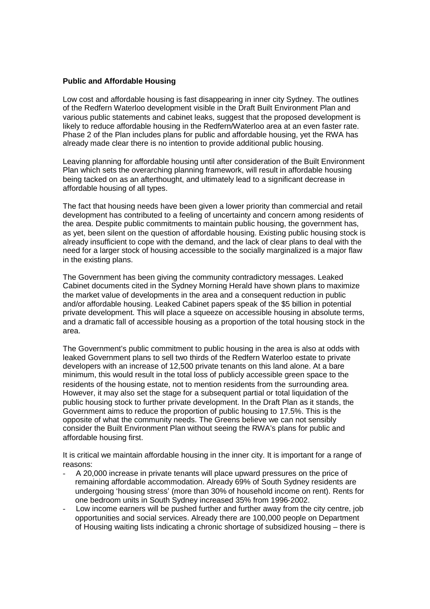### **Public and Affordable Housing**

Low cost and affordable housing is fast disappearing in inner city Sydney. The outlines of the Redfern Waterloo development visible in the Draft Built Environment Plan and various public statements and cabinet leaks, suggest that the proposed development is likely to reduce affordable housing in the Redfern/Waterloo area at an even faster rate. Phase 2 of the Plan includes plans for public and affordable housing, yet the RWA has already made clear there is no intention to provide additional public housing.

Leaving planning for affordable housing until after consideration of the Built Environment Plan which sets the overarching planning framework, will result in affordable housing being tacked on as an afterthought, and ultimately lead to a significant decrease in affordable housing of all types.

The fact that housing needs have been given a lower priority than commercial and retail development has contributed to a feeling of uncertainty and concern among residents of the area. Despite public commitments to maintain public housing, the government has, as yet, been silent on the question of affordable housing. Existing public housing stock is already insufficient to cope with the demand, and the lack of clear plans to deal with the need for a larger stock of housing accessible to the socially marginalized is a major flaw in the existing plans.

The Government has been giving the community contradictory messages. Leaked Cabinet documents cited in the Sydney Morning Herald have shown plans to maximize the market value of developments in the area and a consequent reduction in public and/or affordable housing. Leaked Cabinet papers speak of the \$5 billion in potential private development. This will place a squeeze on accessible housing in absolute terms, and a dramatic fall of accessible housing as a proportion of the total housing stock in the area.

The Government's public commitment to public housing in the area is also at odds with leaked Government plans to sell two thirds of the Redfern Waterloo estate to private developers with an increase of 12,500 private tenants on this land alone. At a bare minimum, this would result in the total loss of publicly accessible green space to the residents of the housing estate, not to mention residents from the surrounding area. However, it may also set the stage for a subsequent partial or total liquidation of the public housing stock to further private development. In the Draft Plan as it stands, the Government aims to reduce the proportion of public housing to 17.5%. This is the opposite of what the community needs. The Greens believe we can not sensibly consider the Built Environment Plan without seeing the RWA's plans for public and affordable housing first.

It is critical we maintain affordable housing in the inner city. It is important for a range of reasons:

- A 20,000 increase in private tenants will place upward pressures on the price of remaining affordable accommodation. Already 69% of South Sydney residents are undergoing 'housing stress' (more than 30% of household income on rent). Rents for one bedroom units in South Sydney increased 35% from 1996-2002.
- Low income earners will be pushed further and further away from the city centre, job opportunities and social services. Already there are 100,000 people on Department of Housing waiting lists indicating a chronic shortage of subsidized housing – there is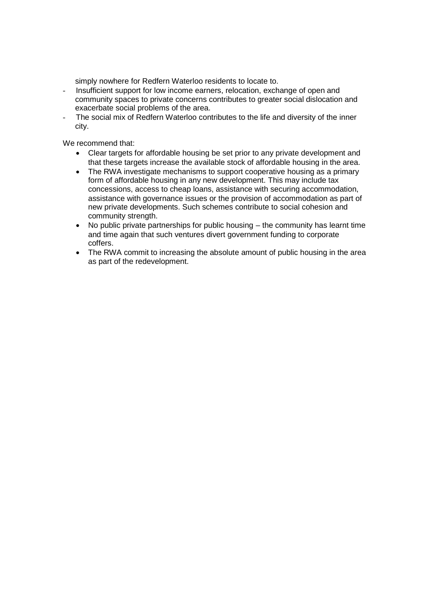simply nowhere for Redfern Waterloo residents to locate to.

- Insufficient support for low income earners, relocation, exchange of open and community spaces to private concerns contributes to greater social dislocation and exacerbate social problems of the area.
- The social mix of Redfern Waterloo contributes to the life and diversity of the inner city.

- Clear targets for affordable housing be set prior to any private development and that these targets increase the available stock of affordable housing in the area.
- The RWA investigate mechanisms to support cooperative housing as a primary form of affordable housing in any new development. This may include tax concessions, access to cheap loans, assistance with securing accommodation, assistance with governance issues or the provision of accommodation as part of new private developments. Such schemes contribute to social cohesion and community strength.
- No public private partnerships for public housing the community has learnt time and time again that such ventures divert government funding to corporate coffers.
- The RWA commit to increasing the absolute amount of public housing in the area as part of the redevelopment.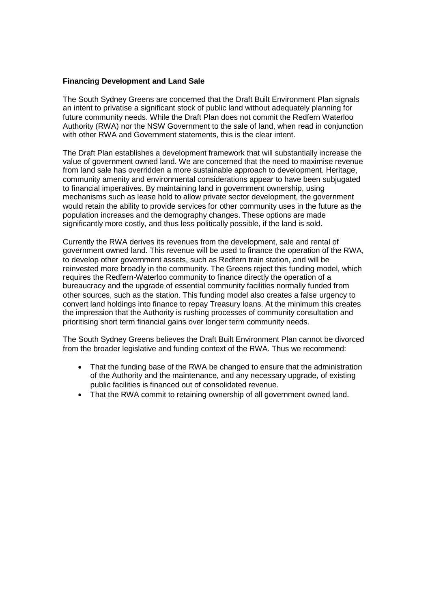### **Financing Development and Land Sale**

The South Sydney Greens are concerned that the Draft Built Environment Plan signals an intent to privatise a significant stock of public land without adequately planning for future community needs. While the Draft Plan does not commit the Redfern Waterloo Authority (RWA) nor the NSW Government to the sale of land, when read in conjunction with other RWA and Government statements, this is the clear intent.

The Draft Plan establishes a development framework that will substantially increase the value of government owned land. We are concerned that the need to maximise revenue from land sale has overridden a more sustainable approach to development. Heritage, community amenity and environmental considerations appear to have been subjugated to financial imperatives. By maintaining land in government ownership, using mechanisms such as lease hold to allow private sector development, the government would retain the ability to provide services for other community uses in the future as the population increases and the demography changes. These options are made significantly more costly, and thus less politically possible, if the land is sold.

Currently the RWA derives its revenues from the development, sale and rental of government owned land. This revenue will be used to finance the operation of the RWA, to develop other government assets, such as Redfern train station, and will be reinvested more broadly in the community. The Greens reject this funding model, which requires the Redfern-Waterloo community to finance directly the operation of a bureaucracy and the upgrade of essential community facilities normally funded from other sources, such as the station. This funding model also creates a false urgency to convert land holdings into finance to repay Treasury loans. At the minimum this creates the impression that the Authority is rushing processes of community consultation and prioritising short term financial gains over longer term community needs.

The South Sydney Greens believes the Draft Built Environment Plan cannot be divorced from the broader legislative and funding context of the RWA. Thus we recommend:

- That the funding base of the RWA be changed to ensure that the administration of the Authority and the maintenance, and any necessary upgrade, of existing public facilities is financed out of consolidated revenue.
- That the RWA commit to retaining ownership of all government owned land.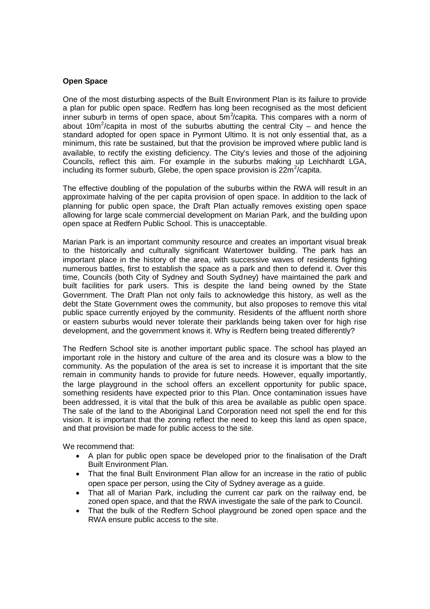# **Open Space**

One of the most disturbing aspects of the Built Environment Plan is its failure to provide a plan for public open space. Redfern has long been recognised as the most deficient inner suburb in terms of open space, about  $5m^2$ /capita. This compares with a norm of about 10m<sup>2</sup>/capita in most of the suburbs abutting the central City – and hence the standard adopted for open space in Pyrmont Ultimo. It is not only essential that, as a minimum, this rate be sustained, but that the provision be improved where public land is available, to rectify the existing deficiency. The City's levies and those of the adjoining Councils, reflect this aim. For example in the suburbs making up Leichhardt LGA, including its former suburb, Glebe, the open space provision is  $22m^2/c$ apita.

The effective doubling of the population of the suburbs within the RWA will result in an approximate halving of the per capita provision of open space. In addition to the lack of planning for public open space, the Draft Plan actually removes existing open space allowing for large scale commercial development on Marian Park, and the building upon open space at Redfern Public School. This is unacceptable.

Marian Park is an important community resource and creates an important visual break to the historically and culturally significant Watertower building. The park has an important place in the history of the area, with successive waves of residents fighting numerous battles, first to establish the space as a park and then to defend it. Over this time, Councils (both City of Sydney and South Sydney) have maintained the park and built facilities for park users. This is despite the land being owned by the State Government. The Draft Plan not only fails to acknowledge this history, as well as the debt the State Government owes the community, but also proposes to remove this vital public space currently enjoyed by the community. Residents of the affluent north shore or eastern suburbs would never tolerate their parklands being taken over for high rise development, and the government knows it. Why is Redfern being treated differently?

The Redfern School site is another important public space. The school has played an important role in the history and culture of the area and its closure was a blow to the community. As the population of the area is set to increase it is important that the site remain in community hands to provide for future needs. However, equally importantly, the large playground in the school offers an excellent opportunity for public space, something residents have expected prior to this Plan. Once contamination issues have been addressed, it is vital that the bulk of this area be available as public open space. The sale of the land to the Aboriginal Land Corporation need not spell the end for this vision. It is important that the zoning reflect the need to keep this land as open space, and that provision be made for public access to the site.

- A plan for public open space be developed prior to the finalisation of the Draft Built Environment Plan.
- That the final Built Environment Plan allow for an increase in the ratio of public open space per person, using the City of Sydney average as a guide.
- That all of Marian Park, including the current car park on the railway end, be zoned open space, and that the RWA investigate the sale of the park to Council.
- That the bulk of the Redfern School playground be zoned open space and the RWA ensure public access to the site.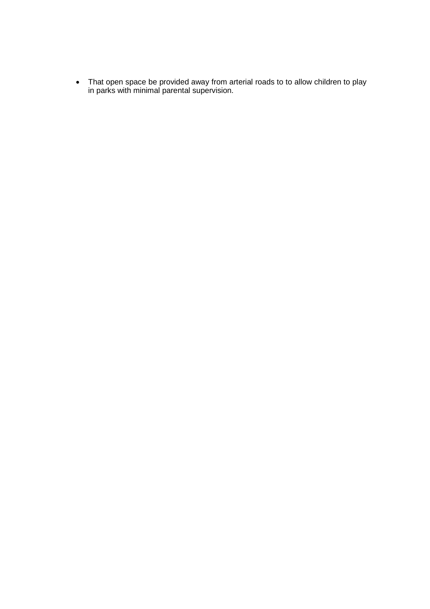That open space be provided away from arterial roads to to allow children to play in parks with minimal parental supervision.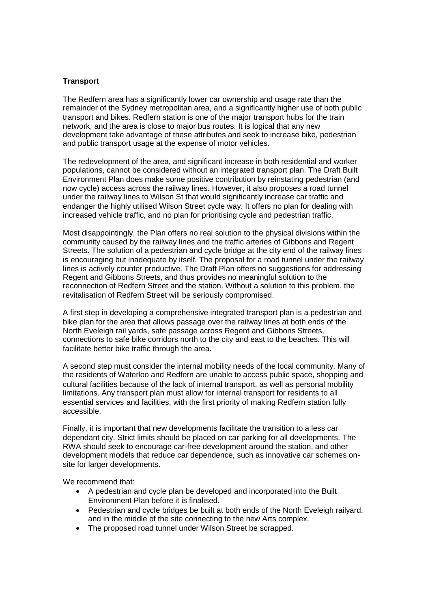# **Transport**

The Redfern area has a significantly lower car ownership and usage rate than the remainder of the Sydney metropolitan area, and a significantly higher use of both public transport and bikes. Redfern station is one of the major transport hubs for the train network, and the area is close to major bus routes. It is logical that any new development take advantage of these attributes and seek to increase bike, pedestrian and public transport usage at the expense of motor vehicles.

The redevelopment of the area, and significant increase in both residential and worker populations, cannot be considered without an integrated transport plan. The Draft Built Environment Plan does make some positive contribution by reinstating pedestrian (and now cycle) access across the railway lines. However, it also proposes a road tunnel under the railway lines to Wilson St that would significantly increase car traffic and endanger the highly utilised Wilson Street cycle way. It offers no plan for dealing with increased vehicle traffic, and no plan for prioritising cycle and pedestrian traffic.

Most disappointingly, the Plan offers no real solution to the physical divisions within the community caused by the railway lines and the traffic arteries of Gibbons and Regent Streets. The solution of a pedestrian and cycle bridge at the city end of the railway lines is encouraging but inadequate by itself. The proposal for a road tunnel under the railway lines is actively counter productive. The Draft Plan offers no suggestions for addressing Regent and Gibbons Streets, and thus provides no meaningful solution to the reconnection of Redfern Street and the station. Without a solution to this problem, the revitalisation of Redfern Street will be seriously compromised.

A first step in developing a comprehensive integrated transport plan is a pedestrian and bike plan for the area that allows passage over the railway lines at both ends of the North Eveleigh rail yards, safe passage across Regent and Gibbons Streets, connections to safe bike corridors north to the city and east to the beaches. This will facilitate better bike traffic through the area.

A second step must consider the internal mobility needs of the local community. Many of the residents of Waterloo and Redfern are unable to access public space, shopping and cultural facilities because of the lack of internal transport, as well as personal mobility limitations. Any transport plan must allow for internal transport for residents to all essential services and facilities, with the first priority of making Redfern station fully accessible.

Finally, it is important that new developments facilitate the transition to a less car dependant city. Strict limits should be placed on car parking for all developments. The RWA should seek to encourage car-free development around the station, and other development models that reduce car dependence, such as innovative car schemes onsite for larger developments.

- A pedestrian and cycle plan be developed and incorporated into the Built Environment Plan before it is finalised.
- Pedestrian and cycle bridges be built at both ends of the North Eveleigh railyard, and in the middle of the site connecting to the new Arts complex.
- The proposed road tunnel under Wilson Street be scrapped.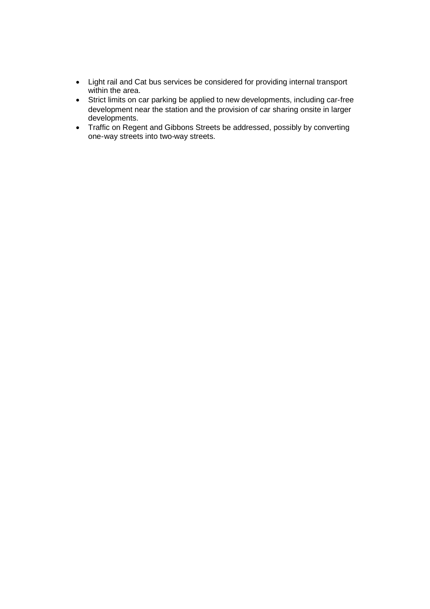- Light rail and Cat bus services be considered for providing internal transport within the area.
- Strict limits on car parking be applied to new developments, including car-free development near the station and the provision of car sharing onsite in larger developments.
- Traffic on Regent and Gibbons Streets be addressed, possibly by converting one-way streets into two-way streets.